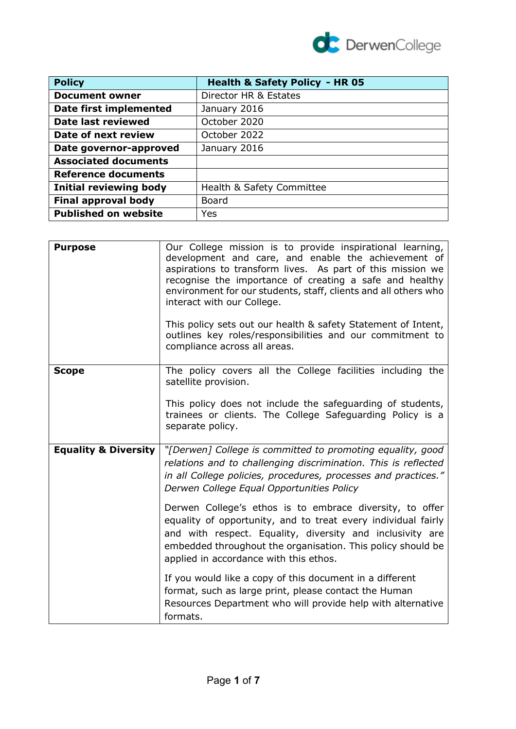

| <b>Policy</b>                 | <b>Health &amp; Safety Policy - HR 05</b> |
|-------------------------------|-------------------------------------------|
| <b>Document owner</b>         | Director HR & Estates                     |
| Date first implemented        | January 2016                              |
| Date last reviewed            | October 2020                              |
| Date of next review           | October 2022                              |
| Date governor-approved        | January 2016                              |
| <b>Associated documents</b>   |                                           |
| <b>Reference documents</b>    |                                           |
| <b>Initial reviewing body</b> | Health & Safety Committee                 |
| <b>Final approval body</b>    | <b>Board</b>                              |
| <b>Published on website</b>   | Yes                                       |

| <b>Purpose</b>                  | Our College mission is to provide inspirational learning,<br>development and care, and enable the achievement of<br>aspirations to transform lives. As part of this mission we<br>recognise the importance of creating a safe and healthy<br>environment for our students, staff, clients and all others who<br>interact with our College.<br>This policy sets out our health & safety Statement of Intent,<br>outlines key roles/responsibilities and our commitment to<br>compliance across all areas.                                       |
|---------------------------------|------------------------------------------------------------------------------------------------------------------------------------------------------------------------------------------------------------------------------------------------------------------------------------------------------------------------------------------------------------------------------------------------------------------------------------------------------------------------------------------------------------------------------------------------|
| <b>Scope</b>                    | The policy covers all the College facilities including the<br>satellite provision.<br>This policy does not include the safeguarding of students,<br>trainees or clients. The College Safeguarding Policy is a<br>separate policy.                                                                                                                                                                                                                                                                                                              |
| <b>Equality &amp; Diversity</b> | "[Derwen] College is committed to promoting equality, good<br>relations and to challenging discrimination. This is reflected<br>in all College policies, procedures, processes and practices."<br>Derwen College Equal Opportunities Policy<br>Derwen College's ethos is to embrace diversity, to offer<br>equality of opportunity, and to treat every individual fairly<br>and with respect. Equality, diversity and inclusivity are<br>embedded throughout the organisation. This policy should be<br>applied in accordance with this ethos. |
|                                 | If you would like a copy of this document in a different<br>format, such as large print, please contact the Human<br>Resources Department who will provide help with alternative<br>formats.                                                                                                                                                                                                                                                                                                                                                   |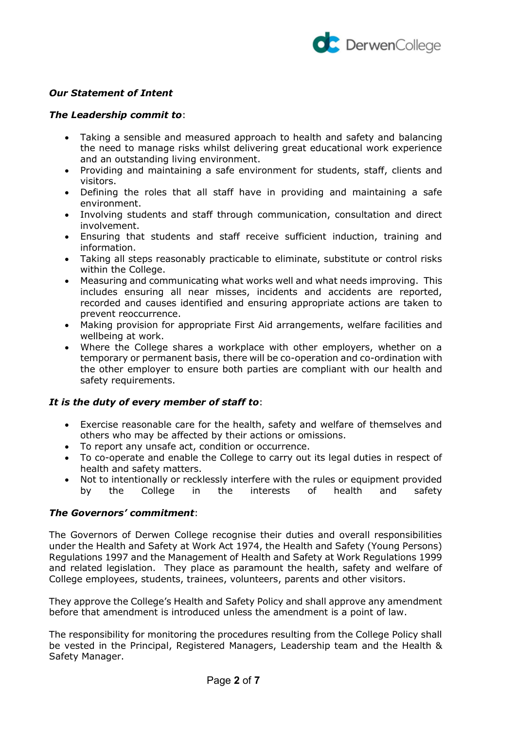

# *Our Statement of Intent*

## *The Leadership commit to*:

- Taking a sensible and measured approach to health and safety and balancing the need to manage risks whilst delivering great educational work experience and an outstanding living environment.
- Providing and maintaining a safe environment for students, staff, clients and visitors.
- Defining the roles that all staff have in providing and maintaining a safe environment.
- Involving students and staff through communication, consultation and direct involvement.
- Ensuring that students and staff receive sufficient induction, training and information.
- Taking all steps reasonably practicable to eliminate, substitute or control risks within the College.
- Measuring and communicating what works well and what needs improving. This includes ensuring all near misses, incidents and accidents are reported, recorded and causes identified and ensuring appropriate actions are taken to prevent reoccurrence.
- Making provision for appropriate First Aid arrangements, welfare facilities and wellbeing at work.
- Where the College shares a workplace with other employers, whether on a temporary or permanent basis, there will be co-operation and co-ordination with the other employer to ensure both parties are compliant with our health and safety requirements.

## *It is the duty of every member of staff to*:

- Exercise reasonable care for the health, safety and welfare of themselves and others who may be affected by their actions or omissions.
- To report any unsafe act, condition or occurrence.
- To co-operate and enable the College to carry out its legal duties in respect of health and safety matters.
- Not to intentionally or recklessly interfere with the rules or equipment provided by the College in the interests of health and safety

## *The Governors' commitment*:

The Governors of Derwen College recognise their duties and overall responsibilities under the Health and Safety at Work Act 1974, the Health and Safety (Young Persons) Regulations 1997 and the Management of Health and Safety at Work Regulations 1999 and related legislation. They place as paramount the health, safety and welfare of College employees, students, trainees, volunteers, parents and other visitors.

They approve the College's Health and Safety Policy and shall approve any amendment before that amendment is introduced unless the amendment is a point of law.

The responsibility for monitoring the procedures resulting from the College Policy shall be vested in the Principal, Registered Managers, Leadership team and the Health & Safety Manager.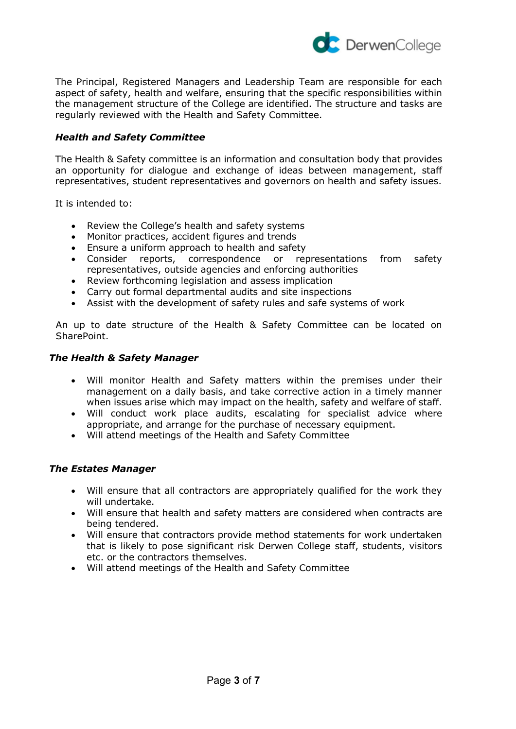

The Principal, Registered Managers and Leadership Team are responsible for each aspect of safety, health and welfare, ensuring that the specific responsibilities within the management structure of the College are identified. The structure and tasks are regularly reviewed with the Health and Safety Committee.

## *Health and Safety Committee*

The Health & Safety committee is an information and consultation body that provides an opportunity for dialogue and exchange of ideas between management, staff representatives, student representatives and governors on health and safety issues.

It is intended to:

- Review the College's health and safety systems
- Monitor practices, accident figures and trends
- Ensure a uniform approach to health and safety
- Consider reports, correspondence or representations from safety representatives, outside agencies and enforcing authorities
- Review forthcoming legislation and assess implication
- Carry out formal departmental audits and site inspections
- Assist with the development of safety rules and safe systems of work

An up to date structure of the Health & Safety Committee can be located on SharePoint.

#### *The Health & Safety Manager*

- Will monitor Health and Safety matters within the premises under their management on a daily basis, and take corrective action in a timely manner when issues arise which may impact on the health, safety and welfare of staff.
- Will conduct work place audits, escalating for specialist advice where appropriate, and arrange for the purchase of necessary equipment.
- Will attend meetings of the Health and Safety Committee

## *The Estates Manager*

- Will ensure that all contractors are appropriately qualified for the work they will undertake.
- Will ensure that health and safety matters are considered when contracts are being tendered.
- Will ensure that contractors provide method statements for work undertaken that is likely to pose significant risk Derwen College staff, students, visitors etc. or the contractors themselves.
- Will attend meetings of the Health and Safety Committee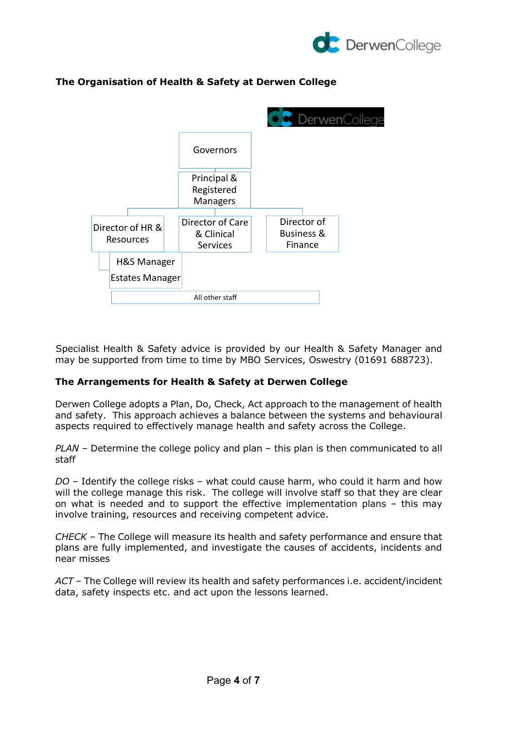

# **The Organisation of Health & Safety at Derwen College**



Specialist Health & Safety advice is provided by our Health & Safety Manager and may be supported from time to time by MBO Services, Oswestry (01691 688723).

## **The Arrangements for Health & Safety at Derwen College**

Derwen College adopts a Plan, Do, Check, Act approach to the management of health and safety. This approach achieves a balance between the systems and behavioural aspects required to effectively manage health and safety across the College.

*PLAN* – Determine the college policy and plan – this plan is then communicated to all staff

*DO* – Identify the college risks – what could cause harm, who could it harm and how will the college manage this risk. The college will involve staff so that they are clear on what is needed and to support the effective implementation plans – this may involve training, resources and receiving competent advice.

*CHECK* – The College will measure its health and safety performance and ensure that plans are fully implemented, and investigate the causes of accidents, incidents and near misses

*ACT* – The College will review its health and safety performances i.e. accident/incident data, safety inspects etc. and act upon the lessons learned.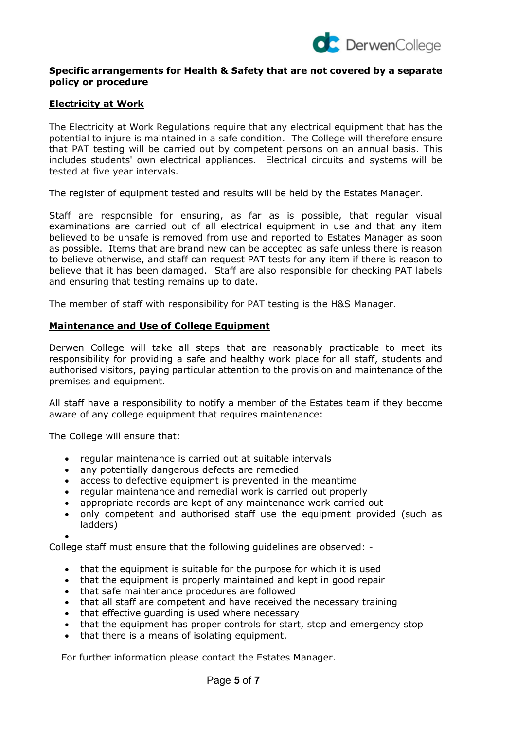

## **Specific arrangements for Health & Safety that are not covered by a separate policy or procedure**

## **Electricity at Work**

The Electricity at Work Regulations require that any electrical equipment that has the potential to injure is maintained in a safe condition. The College will therefore ensure that PAT testing will be carried out by competent persons on an annual basis. This includes students' own electrical appliances. Electrical circuits and systems will be tested at five year intervals.

The register of equipment tested and results will be held by the Estates Manager.

Staff are responsible for ensuring, as far as is possible, that regular visual examinations are carried out of all electrical equipment in use and that any item believed to be unsafe is removed from use and reported to Estates Manager as soon as possible. Items that are brand new can be accepted as safe unless there is reason to believe otherwise, and staff can request PAT tests for any item if there is reason to believe that it has been damaged. Staff are also responsible for checking PAT labels and ensuring that testing remains up to date.

The member of staff with responsibility for PAT testing is the H&S Manager.

## **Maintenance and Use of College Equipment**

Derwen College will take all steps that are reasonably practicable to meet its responsibility for providing a safe and healthy work place for all staff, students and authorised visitors, paying particular attention to the provision and maintenance of the premises and equipment.

All staff have a responsibility to notify a member of the Estates team if they become aware of any college equipment that requires maintenance:

The College will ensure that:

- regular maintenance is carried out at suitable intervals
- any potentially dangerous defects are remedied
- access to defective equipment is prevented in the meantime
- regular maintenance and remedial work is carried out properly
- appropriate records are kept of any maintenance work carried out
- only competent and authorised staff use the equipment provided (such as ladders)

•

College staff must ensure that the following guidelines are observed: -

- that the equipment is suitable for the purpose for which it is used
- that the equipment is properly maintained and kept in good repair
- that safe maintenance procedures are followed
- that all staff are competent and have received the necessary training
- that effective guarding is used where necessary
- that the equipment has proper controls for start, stop and emergency stop
- that there is a means of isolating equipment.

For further information please contact the Estates Manager.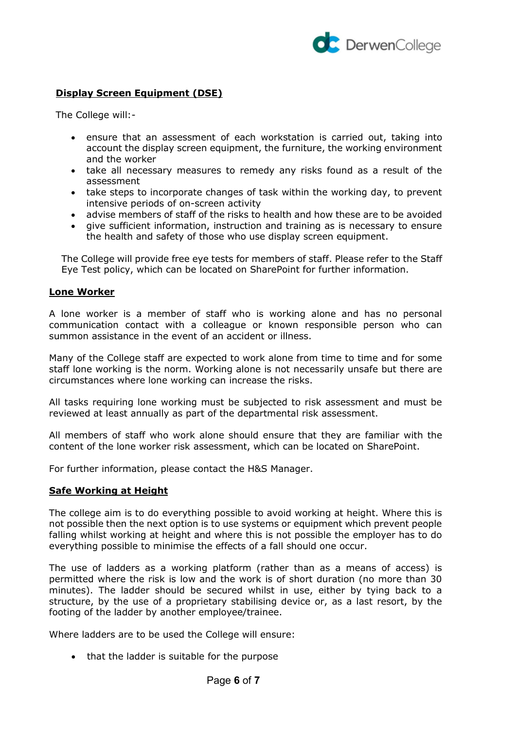

# **Display Screen Equipment (DSE)**

The College will:-

- ensure that an assessment of each workstation is carried out, taking into account the display screen equipment, the furniture, the working environment and the worker
- take all necessary measures to remedy any risks found as a result of the assessment
- take steps to incorporate changes of task within the working day, to prevent intensive periods of on-screen activity
- advise members of staff of the risks to health and how these are to be avoided
- give sufficient information, instruction and training as is necessary to ensure the health and safety of those who use display screen equipment.

The College will provide free eye tests for members of staff. Please refer to the Staff Eye Test policy, which can be located on SharePoint for further information.

#### **Lone Worker**

A lone worker is a member of staff who is working alone and has no personal communication contact with a colleague or known responsible person who can summon assistance in the event of an accident or illness.

Many of the College staff are expected to work alone from time to time and for some staff lone working is the norm. Working alone is not necessarily unsafe but there are circumstances where lone working can increase the risks.

All tasks requiring lone working must be subjected to risk assessment and must be reviewed at least annually as part of the departmental risk assessment.

All members of staff who work alone should ensure that they are familiar with the content of the lone worker risk assessment, which can be located on SharePoint.

For further information, please contact the H&S Manager.

#### **Safe Working at Height**

The college aim is to do everything possible to avoid working at height. Where this is not possible then the next option is to use systems or equipment which prevent people falling whilst working at height and where this is not possible the employer has to do everything possible to minimise the effects of a fall should one occur.

The use of ladders as a working platform (rather than as a means of access) is permitted where the risk is low and the work is of short duration (no more than 30 minutes). The ladder should be secured whilst in use, either by tying back to a structure, by the use of a proprietary stabilising device or, as a last resort, by the footing of the ladder by another employee/trainee.

Where ladders are to be used the College will ensure:

• that the ladder is suitable for the purpose